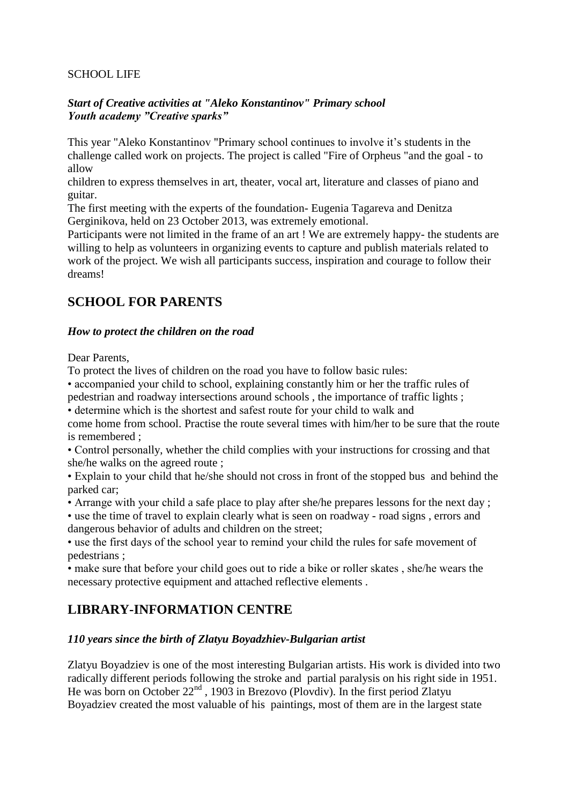### SCHOOL LIFE

### *Start of Creative activities at "Aleko Konstantinov" Primary school Youth academy "Creative sparks"*

This year "Aleko Konstantinov "Primary school continues to involve it's students in the challenge called work on projects. The project is called "Fire of Orpheus "and the goal - to allow

children to express themselves in art, theater, vocal art, literature and classes of piano and guitar.

The first meeting with the experts of the foundation- Eugenia Tagareva and Denitza Gerginikova, held on 23 October 2013, was extremely emotional.

Participants were not limited in the frame of an art ! We are extremely happy- the students are willing to help as volunteers in organizing events to capture and publish materials related to work of the project. We wish all participants success, inspiration and courage to follow their dreams!

# **SCHOOL FOR PARENTS**

### *How to protect the children on the road*

Dear Parents,

To protect the lives of children on the road you have to follow basic rules:

• accompanied your child to school, explaining constantly him or her the traffic rules of pedestrian and roadway intersections around schools , the importance of traffic lights ;

• determine which is the shortest and safest route for your child to walk and

come home from school. Practise the route several times with him/her to be sure that the route is remembered ;

• Control personally, whether the child complies with your instructions for crossing and that she/he walks on the agreed route ;

• Explain to your child that he/she should not cross in front of the stopped bus and behind the parked car;

• Arrange with your child a safe place to play after she/he prepares lessons for the next day ;

• use the time of travel to explain clearly what is seen on roadway - road signs , errors and dangerous behavior of adults and children on the street;

• use the first days of the school year to remind your child the rules for safe movement of pedestrians ;

• make sure that before your child goes out to ride a bike or roller skates , she/he wears the necessary protective equipment and attached reflective elements .

# **LIBRARY-INFORMATION CENTRE**

### *110 years since the birth of Zlatyu Boyadzhiev-Bulgarian artist*

Zlatyu Boyadziev is one of the most interesting Bulgarian artists. His work is divided into two radically different periods following the stroke and partial paralysis on his right side in 1951. He was born on October  $22<sup>nd</sup>$ , 1903 in Brezovo (Plovdiv). In the first period Zlatyu Boyadziev created the most valuable of his paintings, most of them are in the largest state